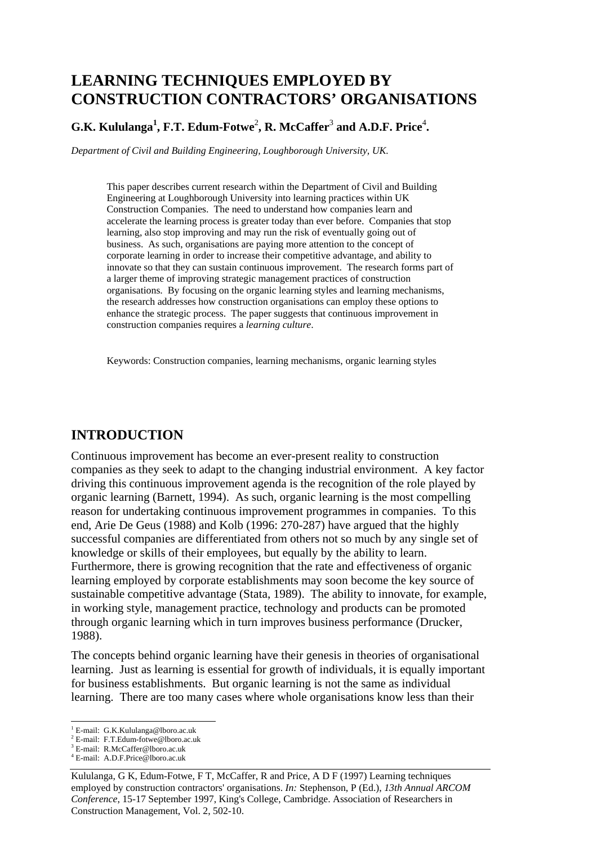# **LEARNING TECHNIQUES EMPLOYED BY CONSTRUCTION CONTRACTORS' ORGANISATIONS**

#### G.K. Kululanga<sup>1</sup>, F.T. Edum-Fotwe<sup>2</sup>, R. McCaffer<sup>3</sup> and A.D.F. Price<sup>4</sup>.

*Department of Civil and Building Engineering, Loughborough University, UK.* 

This paper describes current research within the Department of Civil and Building Engineering at Loughborough University into learning practices within UK Construction Companies. The need to understand how companies learn and accelerate the learning process is greater today than ever before. Companies that stop learning, also stop improving and may run the risk of eventually going out of business. As such, organisations are paying more attention to the concept of corporate learning in order to increase their competitive advantage, and ability to innovate so that they can sustain continuous improvement. The research forms part of a larger theme of improving strategic management practices of construction organisations. By focusing on the organic learning styles and learning mechanisms, the research addresses how construction organisations can employ these options to enhance the strategic process. The paper suggests that continuous improvement in construction companies requires a *learning culture*.

Keywords: Construction companies, learning mechanisms, organic learning styles

#### **INTRODUCTION**

Continuous improvement has become an ever-present reality to construction companies as they seek to adapt to the changing industrial environment. A key factor driving this continuous improvement agenda is the recognition of the role played by organic learning (Barnett, 1994). As such, organic learning is the most compelling reason for undertaking continuous improvement programmes in companies. To this end, Arie De Geus (1988) and Kolb (1996: 270-287) have argued that the highly successful companies are differentiated from others not so much by any single set of knowledge or skills of their employees, but equally by the ability to learn. Furthermore, there is growing recognition that the rate and effectiveness of organic learning employed by corporate establishments may soon become the key source of sustainable competitive advantage (Stata, 1989). The ability to innovate, for example, in working style, management practice, technology and products can be promoted through organic learning which in turn improves business performance (Drucker, 1988).

The concepts behind organic learning have their genesis in theories of organisational learning. Just as learning is essential for growth of individuals, it is equally important for business establishments. But organic learning is not the same as individual learning. There are too many cases where whole organisations know less than their

<sup>&</sup>lt;sup>1</sup> E-mail: G.K.Kululanga@lboro.ac.uk

<sup>2</sup> E-mail: F.T.Edum-fotwe@lboro.ac.uk

<sup>3</sup> E-mail: R.McCaffer@lboro.ac.uk

<sup>4</sup> E-mail: A.D.F.Price@lboro.ac.uk

Kululanga, G K, Edum-Fotwe, F T, McCaffer, R and Price, A D F (1997) Learning techniques employed by construction contractors' organisations. *In:* Stephenson, P (Ed.), *13th Annual ARCOM Conference*, 15-17 September 1997, King's College, Cambridge. Association of Researchers in Construction Management, Vol. 2, 502-10.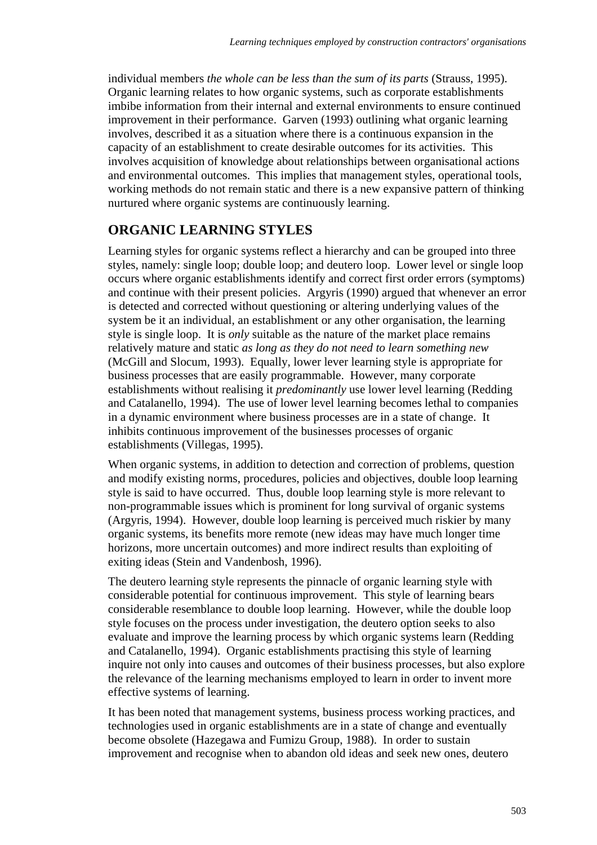individual members *the whole can be less than the sum of its parts* (Strauss, 1995). Organic learning relates to how organic systems, such as corporate establishments imbibe information from their internal and external environments to ensure continued improvement in their performance. Garven (1993) outlining what organic learning involves, described it as a situation where there is a continuous expansion in the capacity of an establishment to create desirable outcomes for its activities. This involves acquisition of knowledge about relationships between organisational actions and environmental outcomes. This implies that management styles, operational tools, working methods do not remain static and there is a new expansive pattern of thinking nurtured where organic systems are continuously learning.

## **ORGANIC LEARNING STYLES**

Learning styles for organic systems reflect a hierarchy and can be grouped into three styles, namely: single loop; double loop; and deutero loop. Lower level or single loop occurs where organic establishments identify and correct first order errors (symptoms) and continue with their present policies. Argyris (1990) argued that whenever an error is detected and corrected without questioning or altering underlying values of the system be it an individual, an establishment or any other organisation, the learning style is single loop. It is *only* suitable as the nature of the market place remains relatively mature and static *as long as they do not need to learn something new* (McGill and Slocum, 1993). Equally, lower lever learning style is appropriate for business processes that are easily programmable. However, many corporate establishments without realising it *predominantly* use lower level learning (Redding and Catalanello, 1994). The use of lower level learning becomes lethal to companies in a dynamic environment where business processes are in a state of change. It inhibits continuous improvement of the businesses processes of organic establishments (Villegas, 1995).

When organic systems, in addition to detection and correction of problems, question and modify existing norms, procedures, policies and objectives, double loop learning style is said to have occurred. Thus, double loop learning style is more relevant to non-programmable issues which is prominent for long survival of organic systems (Argyris, 1994). However, double loop learning is perceived much riskier by many organic systems, its benefits more remote (new ideas may have much longer time horizons, more uncertain outcomes) and more indirect results than exploiting of exiting ideas (Stein and Vandenbosh, 1996).

The deutero learning style represents the pinnacle of organic learning style with considerable potential for continuous improvement. This style of learning bears considerable resemblance to double loop learning. However, while the double loop style focuses on the process under investigation, the deutero option seeks to also evaluate and improve the learning process by which organic systems learn (Redding and Catalanello, 1994). Organic establishments practising this style of learning inquire not only into causes and outcomes of their business processes, but also explore the relevance of the learning mechanisms employed to learn in order to invent more effective systems of learning.

It has been noted that management systems, business process working practices, and technologies used in organic establishments are in a state of change and eventually become obsolete (Hazegawa and Fumizu Group, 1988). In order to sustain improvement and recognise when to abandon old ideas and seek new ones, deutero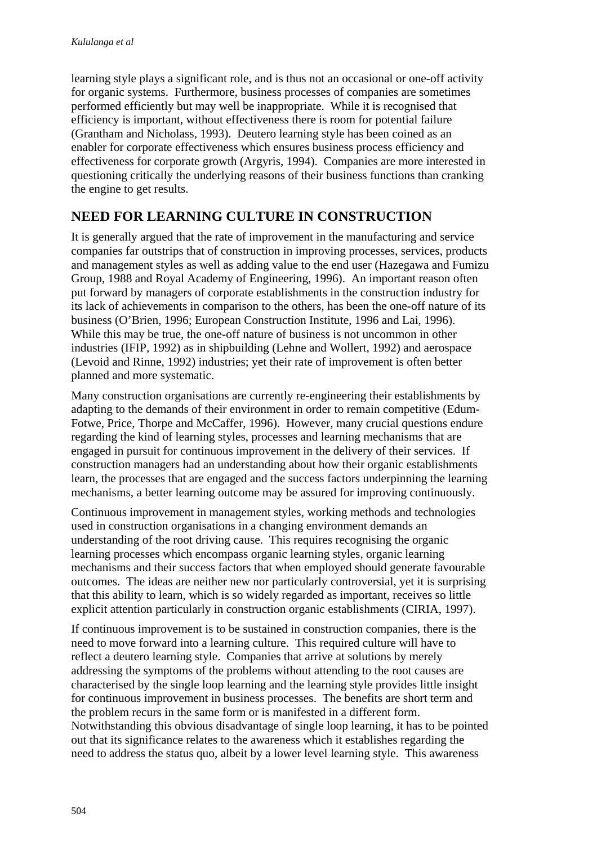learning style plays a significant role, and is thus not an occasional or one-off activity for organic systems. Furthermore, business processes of companies are sometimes performed efficiently but may well be inappropriate. While it is recognised that efficiency is important, without effectiveness there is room for potential failure (Grantham and Nicholass, 1993). Deutero learning style has been coined as an enabler for corporate effectiveness which ensures business process efficiency and effectiveness for corporate growth (Argyris, 1994). Companies are more interested in questioning critically the underlying reasons of their business functions than cranking the engine to get results.

#### **NEED FOR LEARNING CULTURE IN CONSTRUCTION**

It is generally argued that the rate of improvement in the manufacturing and service companies far outstrips that of construction in improving processes, services, products and management styles as well as adding value to the end user (Hazegawa and Fumizu Group, 1988 and Royal Academy of Engineering, 1996). An important reason often put forward by managers of corporate establishments in the construction industry for its lack of achievements in comparison to the others, has been the one-off nature of its business (O'Brien, 1996; European Construction Institute, 1996 and Lai, 1996). While this may be true, the one-off nature of business is not uncommon in other industries (IFIP, 1992) as in shipbuilding (Lehne and Wollert, 1992) and aerospace (Levoid and Rinne, 1992) industries; yet their rate of improvement is often better planned and more systematic.

Many construction organisations are currently re-engineering their establishments by adapting to the demands of their environment in order to remain competitive (Edum-Fotwe, Price, Thorpe and McCaffer, 1996). However, many crucial questions endure regarding the kind of learning styles, processes and learning mechanisms that are engaged in pursuit for continuous improvement in the delivery of their services. If construction managers had an understanding about how their organic establishments learn, the processes that are engaged and the success factors underpinning the learning mechanisms, a better learning outcome may be assured for improving continuously.

Continuous improvement in management styles, working methods and technologies used in construction organisations in a changing environment demands an understanding of the root driving cause. This requires recognising the organic learning processes which encompass organic learning styles, organic learning mechanisms and their success factors that when employed should generate favourable outcomes. The ideas are neither new nor particularly controversial, yet it is surprising that this ability to learn, which is so widely regarded as important, receives so little explicit attention particularly in construction organic establishments (CIRIA, 1997).

If continuous improvement is to be sustained in construction companies, there is the need to move forward into a learning culture. This required culture will have to reflect a deutero learning style. Companies that arrive at solutions by merely addressing the symptoms of the problems without attending to the root causes are characterised by the single loop learning and the learning style provides little insight for continuous improvement in business processes. The benefits are short term and the problem recurs in the same form or is manifested in a different form. Notwithstanding this obvious disadvantage of single loop learning, it has to be pointed out that its significance relates to the awareness which it establishes regarding the need to address the status quo, albeit by a lower level learning style. This awareness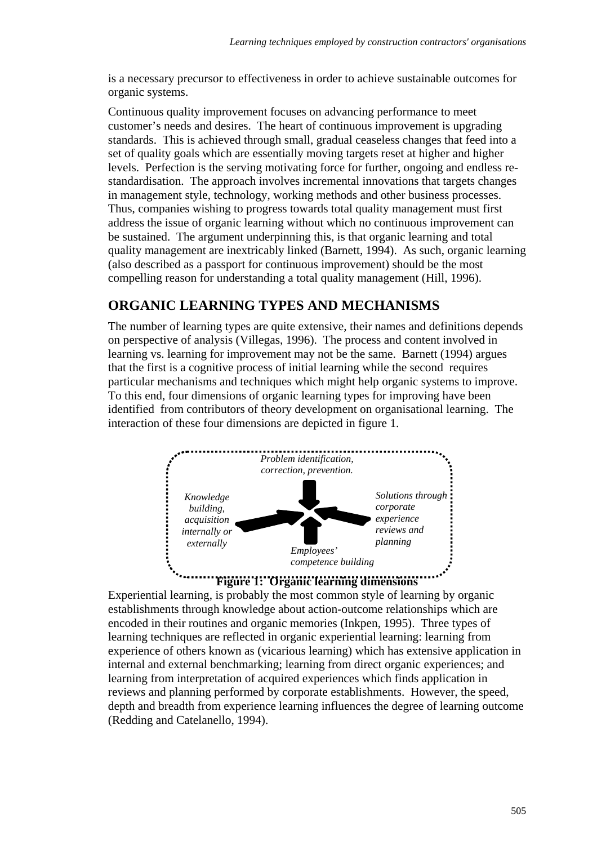is a necessary precursor to effectiveness in order to achieve sustainable outcomes for organic systems.

Continuous quality improvement focuses on advancing performance to meet customer's needs and desires. The heart of continuous improvement is upgrading standards. This is achieved through small, gradual ceaseless changes that feed into a set of quality goals which are essentially moving targets reset at higher and higher levels. Perfection is the serving motivating force for further, ongoing and endless restandardisation. The approach involves incremental innovations that targets changes in management style, technology, working methods and other business processes. Thus, companies wishing to progress towards total quality management must first address the issue of organic learning without which no continuous improvement can be sustained. The argument underpinning this, is that organic learning and total quality management are inextricably linked (Barnett, 1994). As such, organic learning (also described as a passport for continuous improvement) should be the most compelling reason for understanding a total quality management (Hill, 1996).

## **ORGANIC LEARNING TYPES AND MECHANISMS**

The number of learning types are quite extensive, their names and definitions depends on perspective of analysis (Villegas, 1996). The process and content involved in learning vs. learning for improvement may not be the same. Barnett (1994) argues that the first is a cognitive process of initial learning while the second requires particular mechanisms and techniques which might help organic systems to improve. To this end, four dimensions of organic learning types for improving have been identified from contributors of theory development on organisational learning. The interaction of these four dimensions are depicted in figure 1.



Experiential learning, is probably the most common style of learning by organic establishments through knowledge about action-outcome relationships which are encoded in their routines and organic memories (Inkpen, 1995). Three types of learning techniques are reflected in organic experiential learning: learning from experience of others known as (vicarious learning) which has extensive application in internal and external benchmarking; learning from direct organic experiences; and learning from interpretation of acquired experiences which finds application in reviews and planning performed by corporate establishments. However, the speed, depth and breadth from experience learning influences the degree of learning outcome (Redding and Catelanello, 1994).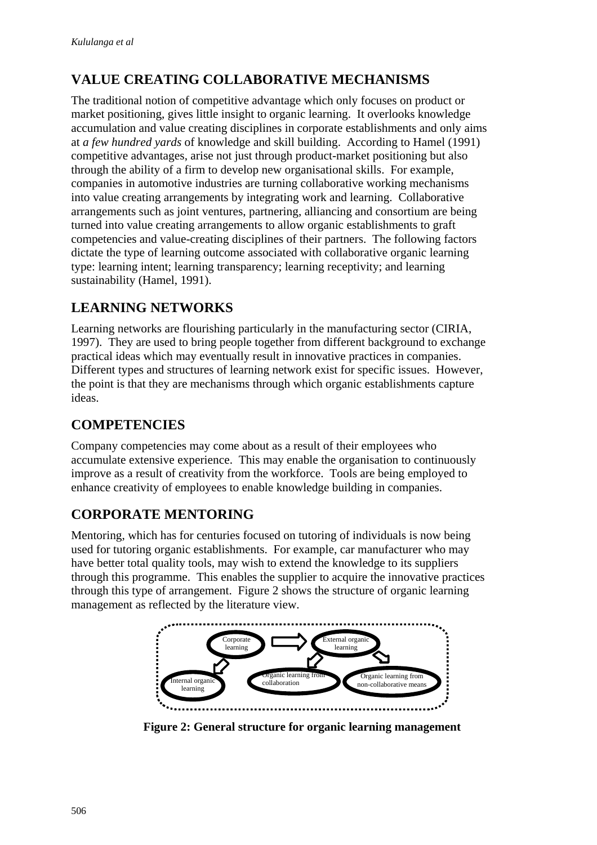## **VALUE CREATING COLLABORATIVE MECHANISMS**

The traditional notion of competitive advantage which only focuses on product or market positioning, gives little insight to organic learning. It overlooks knowledge accumulation and value creating disciplines in corporate establishments and only aims at *a few hundred yards* of knowledge and skill building. According to Hamel (1991) competitive advantages, arise not just through product-market positioning but also through the ability of a firm to develop new organisational skills. For example, companies in automotive industries are turning collaborative working mechanisms into value creating arrangements by integrating work and learning. Collaborative arrangements such as joint ventures, partnering, alliancing and consortium are being turned into value creating arrangements to allow organic establishments to graft competencies and value-creating disciplines of their partners. The following factors dictate the type of learning outcome associated with collaborative organic learning type: learning intent; learning transparency; learning receptivity; and learning sustainability (Hamel, 1991).

## **LEARNING NETWORKS**

Learning networks are flourishing particularly in the manufacturing sector (CIRIA, 1997). They are used to bring people together from different background to exchange practical ideas which may eventually result in innovative practices in companies. Different types and structures of learning network exist for specific issues. However, the point is that they are mechanisms through which organic establishments capture ideas.

#### **COMPETENCIES**

Company competencies may come about as a result of their employees who accumulate extensive experience. This may enable the organisation to continuously improve as a result of creativity from the workforce. Tools are being employed to enhance creativity of employees to enable knowledge building in companies.

## **CORPORATE MENTORING**

Mentoring, which has for centuries focused on tutoring of individuals is now being used for tutoring organic establishments. For example, car manufacturer who may have better total quality tools, may wish to extend the knowledge to its suppliers through this programme. This enables the supplier to acquire the innovative practices through this type of arrangement. Figure 2 shows the structure of organic learning management as reflected by the literature view.



**Figure 2: General structure for organic learning management**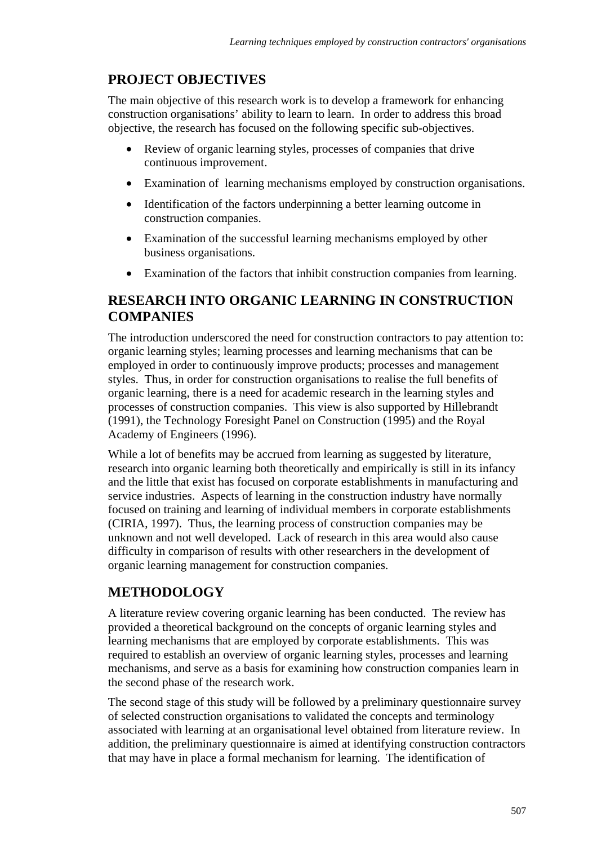## **PROJECT OBJECTIVES**

The main objective of this research work is to develop a framework for enhancing construction organisations' ability to learn to learn. In order to address this broad objective, the research has focused on the following specific sub-objectives.

- Review of organic learning styles, processes of companies that drive continuous improvement.
- Examination of learning mechanisms employed by construction organisations.
- Identification of the factors underpinning a better learning outcome in construction companies.
- Examination of the successful learning mechanisms employed by other business organisations.
- Examination of the factors that inhibit construction companies from learning.

#### **RESEARCH INTO ORGANIC LEARNING IN CONSTRUCTION COMPANIES**

The introduction underscored the need for construction contractors to pay attention to: organic learning styles; learning processes and learning mechanisms that can be employed in order to continuously improve products; processes and management styles. Thus, in order for construction organisations to realise the full benefits of organic learning, there is a need for academic research in the learning styles and processes of construction companies. This view is also supported by Hillebrandt (1991), the Technology Foresight Panel on Construction (1995) and the Royal Academy of Engineers (1996).

While a lot of benefits may be accrued from learning as suggested by literature, research into organic learning both theoretically and empirically is still in its infancy and the little that exist has focused on corporate establishments in manufacturing and service industries. Aspects of learning in the construction industry have normally focused on training and learning of individual members in corporate establishments (CIRIA, 1997). Thus, the learning process of construction companies may be unknown and not well developed. Lack of research in this area would also cause difficulty in comparison of results with other researchers in the development of organic learning management for construction companies.

## **METHODOLOGY**

A literature review covering organic learning has been conducted. The review has provided a theoretical background on the concepts of organic learning styles and learning mechanisms that are employed by corporate establishments. This was required to establish an overview of organic learning styles, processes and learning mechanisms, and serve as a basis for examining how construction companies learn in the second phase of the research work.

The second stage of this study will be followed by a preliminary questionnaire survey of selected construction organisations to validated the concepts and terminology associated with learning at an organisational level obtained from literature review. In addition, the preliminary questionnaire is aimed at identifying construction contractors that may have in place a formal mechanism for learning. The identification of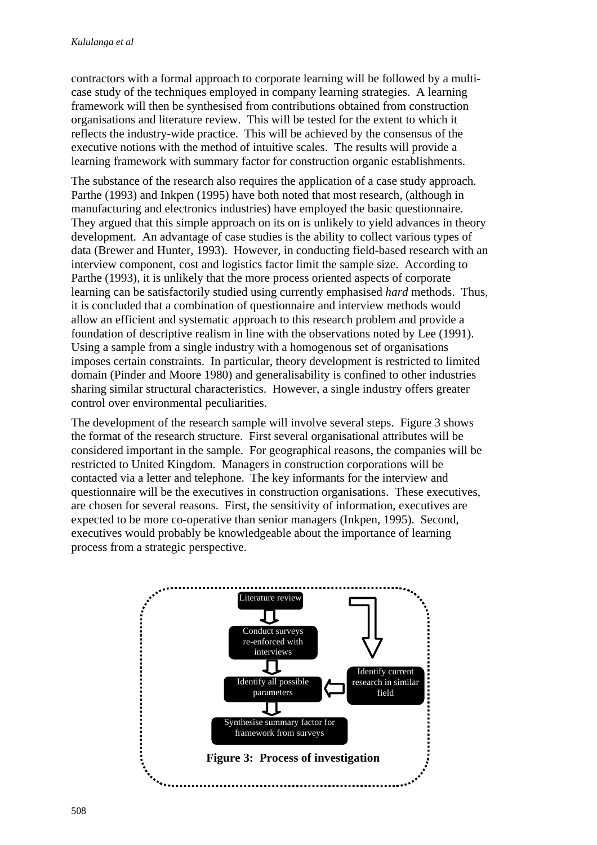contractors with a formal approach to corporate learning will be followed by a multicase study of the techniques employed in company learning strategies. A learning framework will then be synthesised from contributions obtained from construction organisations and literature review. This will be tested for the extent to which it reflects the industry-wide practice. This will be achieved by the consensus of the executive notions with the method of intuitive scales. The results will provide a learning framework with summary factor for construction organic establishments.

The substance of the research also requires the application of a case study approach. Parthe (1993) and Inkpen (1995) have both noted that most research, (although in manufacturing and electronics industries) have employed the basic questionnaire. They argued that this simple approach on its on is unlikely to yield advances in theory development. An advantage of case studies is the ability to collect various types of data (Brewer and Hunter, 1993). However, in conducting field-based research with an interview component, cost and logistics factor limit the sample size. According to Parthe (1993), it is unlikely that the more process oriented aspects of corporate learning can be satisfactorily studied using currently emphasised *hard* methods. Thus, it is concluded that a combination of questionnaire and interview methods would allow an efficient and systematic approach to this research problem and provide a foundation of descriptive realism in line with the observations noted by Lee (1991). Using a sample from a single industry with a homogenous set of organisations imposes certain constraints. In particular, theory development is restricted to limited domain (Pinder and Moore 1980) and generalisability is confined to other industries sharing similar structural characteristics. However, a single industry offers greater control over environmental peculiarities.

The development of the research sample will involve several steps. Figure 3 shows the format of the research structure. First several organisational attributes will be considered important in the sample. For geographical reasons, the companies will be restricted to United Kingdom. Managers in construction corporations will be contacted via a letter and telephone. The key informants for the interview and questionnaire will be the executives in construction organisations. These executives, are chosen for several reasons. First, the sensitivity of information, executives are expected to be more co-operative than senior managers (Inkpen, 1995). Second, executives would probably be knowledgeable about the importance of learning process from a strategic perspective.

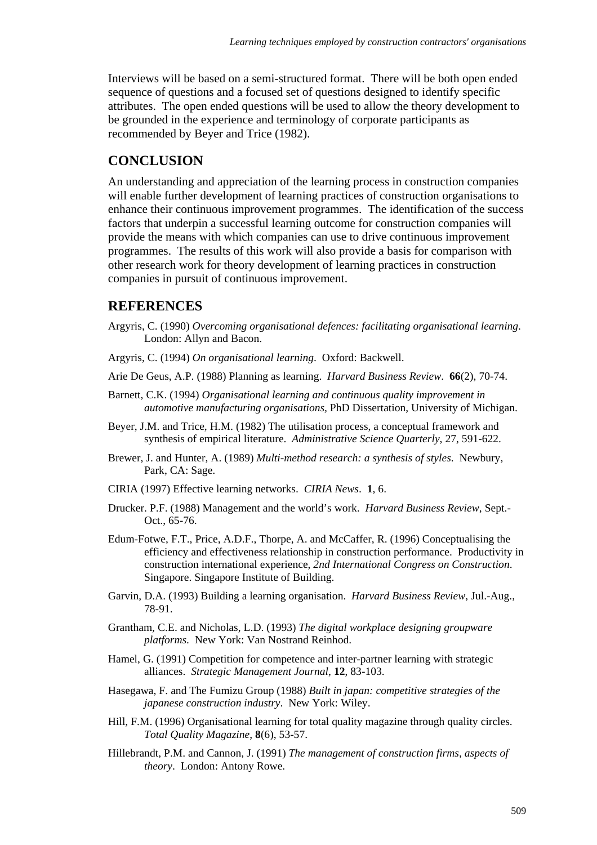Interviews will be based on a semi-structured format. There will be both open ended sequence of questions and a focused set of questions designed to identify specific attributes. The open ended questions will be used to allow the theory development to be grounded in the experience and terminology of corporate participants as recommended by Beyer and Trice (1982).

#### **CONCLUSION**

An understanding and appreciation of the learning process in construction companies will enable further development of learning practices of construction organisations to enhance their continuous improvement programmes. The identification of the success factors that underpin a successful learning outcome for construction companies will provide the means with which companies can use to drive continuous improvement programmes. The results of this work will also provide a basis for comparison with other research work for theory development of learning practices in construction companies in pursuit of continuous improvement.

#### **REFERENCES**

- Argyris, C. (1990) *Overcoming organisational defences: facilitating organisational learning*. London: Allyn and Bacon.
- Argyris, C. (1994) *On organisational learning*. Oxford: Backwell.
- Arie De Geus, A.P. (1988) Planning as learning. *Harvard Business Review*. **66**(2), 70-74.
- Barnett, C.K. (1994) *Organisational learning and continuous quality improvement in automotive manufacturing organisations,* PhD Dissertation, University of Michigan.
- Beyer, J.M. and Trice, H.M. (1982) The utilisation process, a conceptual framework and synthesis of empirical literature. *Administrative Science Quarterly*, 27, 591-622.
- Brewer, J. and Hunter, A. (1989) *Multi-method research: a synthesis of styles*. Newbury, Park, CA: Sage.
- CIRIA (1997) Effective learning networks. *CIRIA News*. **1**, 6.
- Drucker. P.F. (1988) Management and the world's work. *Harvard Business Review*, Sept.- Oct., 65-76.
- Edum-Fotwe, F.T., Price, A.D.F., Thorpe, A. and McCaffer, R. (1996) Conceptualising the efficiency and effectiveness relationship in construction performance. Productivity in construction international experience, *2nd International Congress on Construction*. Singapore. Singapore Institute of Building.
- Garvin, D.A. (1993) Building a learning organisation. *Harvard Business Review*, Jul.-Aug., 78-91.
- Grantham, C.E. and Nicholas, L.D. (1993) *The digital workplace designing groupware platforms*. New York: Van Nostrand Reinhod.
- Hamel, G. (1991) Competition for competence and inter-partner learning with strategic alliances. *Strategic Management Journal*, **12**, 83-103.
- Hasegawa, F. and The Fumizu Group (1988) *Built in japan: competitive strategies of the japanese construction industry*. New York: Wiley.
- Hill, F.M. (1996) Organisational learning for total quality magazine through quality circles. *Total Quality Magazine*, **8**(6), 53-57.
- Hillebrandt, P.M. and Cannon, J. (1991) *The management of construction firms, aspects of theory*. London: Antony Rowe.